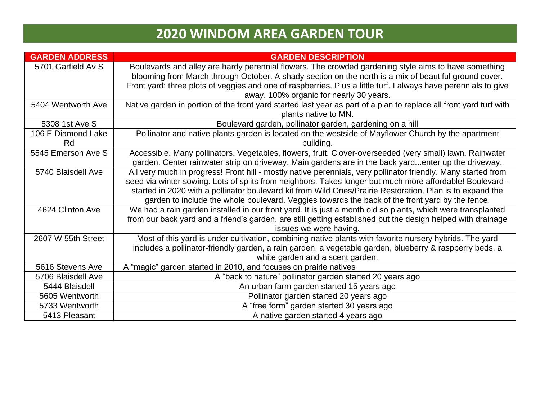| <b>GARDEN ADDRESS</b> | <b>GARDEN DESCRIPTION</b>                                                                                          |
|-----------------------|--------------------------------------------------------------------------------------------------------------------|
| 5701 Garfield Av S    | Boulevards and alley are hardy perennial flowers. The crowded gardening style aims to have something               |
|                       | blooming from March through October. A shady section on the north is a mix of beautiful ground cover.              |
|                       | Front yard: three plots of veggies and one of raspberries. Plus a little turf. I always have perennials to give    |
|                       | away. 100% organic for nearly 30 years.                                                                            |
| 5404 Wentworth Ave    | Native garden in portion of the front yard started last year as part of a plan to replace all front yard turf with |
|                       | plants native to MN.                                                                                               |
| 5308 1st Ave S        | Boulevard garden, pollinator garden, gardening on a hill                                                           |
| 106 E Diamond Lake    | Pollinator and native plants garden is located on the westside of Mayflower Church by the apartment                |
| Rd                    | building.                                                                                                          |
| 5545 Emerson Ave S    | Accessible. Many pollinators. Vegetables, flowers, fruit. Clover-overseeded (very small) lawn. Rainwater           |
|                       | garden. Center rainwater strip on driveway. Main gardens are in the back yardenter up the driveway.                |
| 5740 Blaisdell Ave    | All very much in progress! Front hill - mostly native perennials, very pollinator friendly. Many started from      |
|                       | seed via winter sowing. Lots of splits from neighbors. Takes longer but much more affordable! Boulevard -          |
|                       | started in 2020 with a pollinator boulevard kit from Wild Ones/Prairie Restoration. Plan is to expand the          |
|                       | garden to include the whole boulevard. Veggies towards the back of the front yard by the fence.                    |
| 4624 Clinton Ave      | We had a rain garden installed in our front yard. It is just a month old so plants, which were transplanted        |
|                       | from our back yard and a friend's garden, are still getting established but the design helped with drainage        |
|                       | issues we were having.                                                                                             |
| 2607 W 55th Street    | Most of this yard is under cultivation, combining native plants with favorite nursery hybrids. The yard            |
|                       | includes a pollinator-friendly garden, a rain garden, a vegetable garden, blueberry & raspberry beds, a            |
|                       | white garden and a scent garden.                                                                                   |
| 5616 Stevens Ave      | A "magic" garden started in 2010, and focuses on prairie natives                                                   |
| 5706 Blaisdell Ave    | A "back to nature" pollinator garden started 20 years ago                                                          |
| 5444 Blaisdell        | An urban farm garden started 15 years ago                                                                          |
| 5605 Wentworth        | Pollinator garden started 20 years ago                                                                             |
| 5733 Wentworth        | A "free form" garden started 30 years ago                                                                          |
| 5413 Pleasant         | A native garden started 4 years ago                                                                                |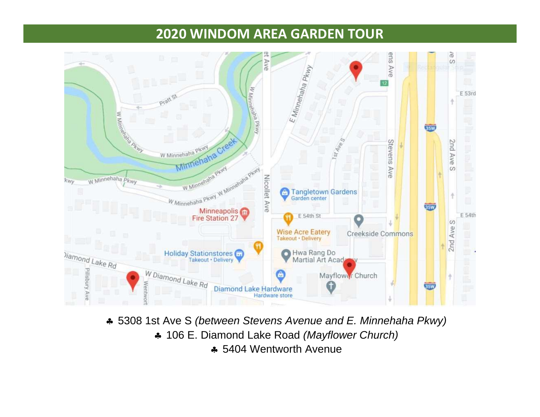

 5308 1st Ave S *(between Stevens Avenue and E. Minnehaha Pkwy)* 106 E. Diamond Lake Road *(Mayflower Church)* 5404 Wentworth Avenue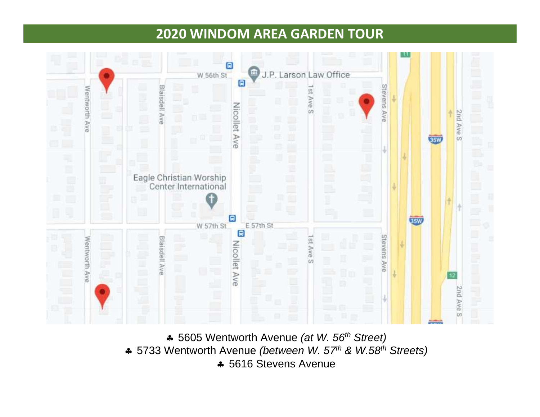

 5605 Wentworth Avenue *(at W. 56th Street)* 5733 Wentworth Avenue *(between W. 57th & W.58th Streets)* 5616 Stevens Avenue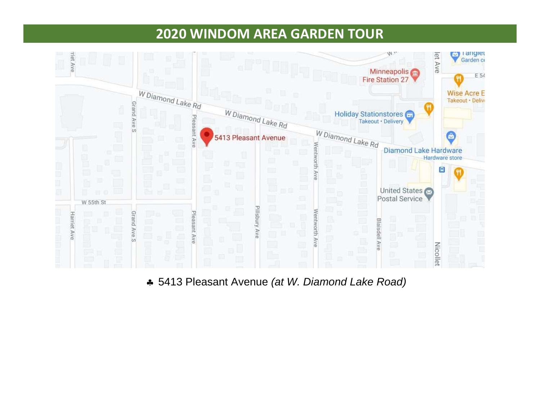

5413 Pleasant Avenue *(at W. Diamond Lake Road)*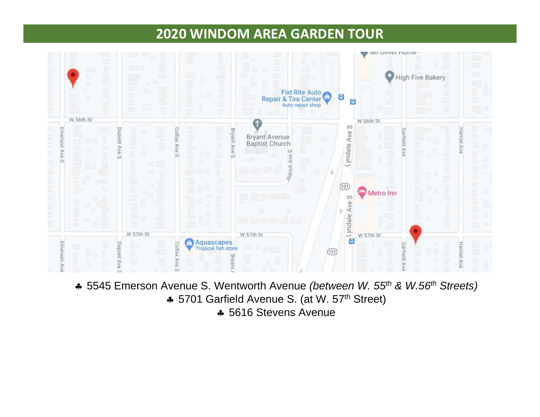

- 5545 Emerson Avenue S. Wentworth Avenue *(between W. 55 th & W.56th Streets)*
	- **∗** 5701 Garfield Avenue S. (at W. 57<sup>th</sup> Street)
		- 5616 Stevens Avenue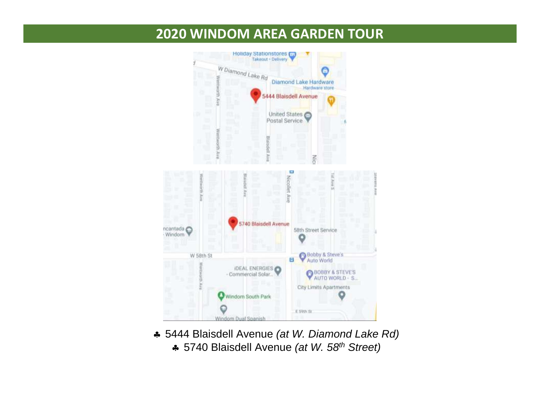

- 5444 Blaisdell Avenue *(at W. Diamond Lake Rd)*
	- 5740 Blaisdell Avenue *(at W. 58th Street)*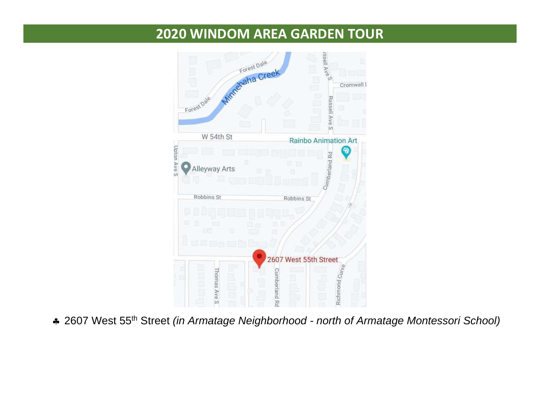

2607 West 55 th Street *(in Armatage Neighborhood - north of Armatage Montessori School)*